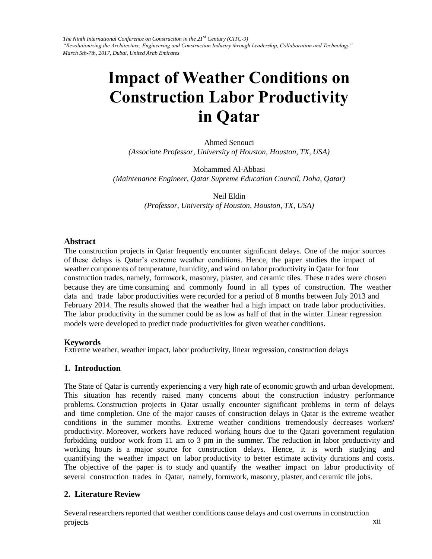*The Ninth International Conference on Construction in the 21st Century (CITC-9) "Revolutionizing the Architecture, Engineering and Construction Industry through Leadership, Collaboration and Technology" March 5th-7th, 2017, Dubai, United Arab Emirates*

# **Impact of Weather Conditions on Construction Labor Productivity in Qatar**

Ahmed Senouci *(Associate Professor, University of Houston, Houston, TX, USA)*

Mohammed Al-Abbasi *(Maintenance Engineer, Qatar Supreme Education Council, Doha, Qatar)*

> Neil Eldin *(Professor, University of Houston, Houston, TX, USA)*

#### **Abstract**

The construction projects in Qatar frequently encounter significant delays. One of the major sources of these delays is Qatar's extreme weather conditions. Hence, the paper studies the impact of weather components of temperature, humidity, and wind on labor productivity in Qatar for four construction trades, namely, formwork, masonry, plaster, and ceramic tiles. These trades were chosen because they are time consuming and commonly found in all types of construction. The weather data and trade labor productivities were recorded for a period of 8 months between July 2013 and February 2014. The results showed that the weather had a high impact on trade labor productivities. The labor productivity in the summer could be as low as half of that in the winter. Linear regression models were developed to predict trade productivities for given weather conditions.

#### **Keywords**

Extreme weather, weather impact, labor productivity, linear regression, construction delays

#### **1. Introduction**

The State of Qatar is currently experiencing a very high rate of economic growth and urban development. This situation has recently raised many concerns about the construction industry performance problems. Construction projects in Qatar usually encounter significant problems in term of delays and time completion. One of the major causes of construction delays in Qatar is the extreme weather conditions in the summer months. Extreme weather conditions tremendously decreases workers' productivity. Moreover, workers have reduced working hours due to the Qatari government regulation forbidding outdoor work from 11 am to 3 pm in the summer. The reduction in labor productivity and working hours is a major source for construction delays. Hence, it is worth studying and quantifying the weather impact on labor productivity to better estimate activity durations and costs. The objective of the paper is to study and quantify the weather impact on labor productivity of several construction trades in Qatar, namely, formwork, masonry, plaster, and ceramic tile jobs.

#### **2. Literature Review**

in the control of the control of the control of the control of the control of the control of the control of th Several researchers reported that weather conditions cause delays and cost overruns in construction projects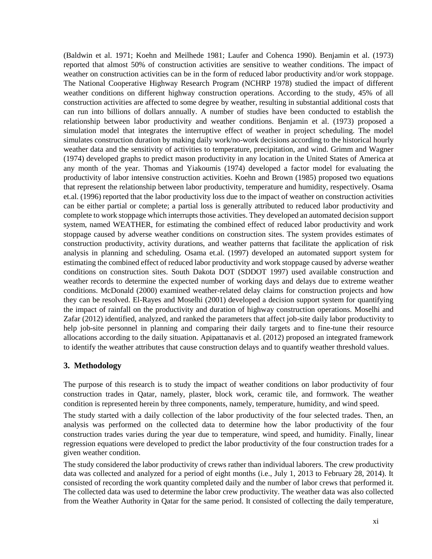(Baldwin et al. 1971; Koehn and Meilhede 1981; Laufer and Cohenca 1990). Benjamin et al. (1973) reported that almost 50% of construction activities are sensitive to weather conditions. The impact of weather on construction activities can be in the form of reduced labor productivity and/or work stoppage. The National Cooperative Highway Research Program (NCHRP 1978) studied the impact of different weather conditions on different highway construction operations. According to the study, 45% of all construction activities are affected to some degree by weather, resulting in substantial additional costs that can run into billions of dollars annually. A number of studies have been conducted to establish the relationship between labor productivity and weather conditions. Benjamin et al. (1973) proposed a simulation model that integrates the interruptive effect of weather in project scheduling. The model simulates construction duration by making daily work/no-work decisions according to the historical hourly weather data and the sensitivity of activities to temperature, precipitation, and wind. Grimm and Wagner (1974) developed graphs to predict mason productivity in any location in the United States of America at any month of the year. Thomas and Yiakoumis (1974) developed a factor model for evaluating the productivity of labor intensive construction activities. Koehn and Brown (1985) proposed two equations that represent the relationship between labor productivity, temperature and humidity, respectively. Osama et.al. (1996) reported that the labor productivity loss due to the impact of weather on construction activities can be either partial or complete; a partial loss is generally attributed to reduced labor productivity and complete to work stoppage which interrupts those activities. They developed an automated decision support system, named WEATHER, for estimating the combined effect of reduced labor productivity and work stoppage caused by adverse weather conditions on construction sites. The system provides estimates of construction productivity, activity durations, and weather patterns that facilitate the application of risk analysis in planning and scheduling. Osama et.al. (1997) developed an automated support system for estimating the combined effect of reduced labor productivity and work stoppage caused by adverse weather conditions on construction sites. South Dakota DOT (SDDOT 1997) used available construction and weather records to determine the expected number of working days and delays due to extreme weather conditions. McDonald (2000) examined weather-related delay claims for construction projects and how they can be resolved. El-Rayes and Moselhi (2001) developed a decision support system for quantifying the impact of rainfall on the productivity and duration of highway construction operations. Moselhi and Zafar (2012) identified, analyzed, and ranked the parameters that affect job-site daily labor productivity to help job-site personnel in planning and comparing their daily targets and to fine-tune their resource allocations according to the daily situation. Apipattanavis et al. (2012) proposed an integrated framework to identify the weather attributes that cause construction delays and to quantify weather threshold values.

## **3. Methodology**

The purpose of this research is to study the impact of weather conditions on labor productivity of four construction trades in Qatar, namely, plaster, block work, ceramic tile, and formwork. The weather condition is represented herein by three components, namely, temperature, humidity, and wind speed.

The study started with a daily collection of the labor productivity of the four selected trades. Then, an analysis was performed on the collected data to determine how the labor productivity of the four construction trades varies during the year due to temperature, wind speed, and humidity. Finally, linear regression equations were developed to predict the labor productivity of the four construction trades for a given weather condition.

The study considered the labor productivity of crews rather than individual laborers. The crew productivity data was collected and analyzed for a period of eight months (i.e., July 1, 2013 to February 28, 2014). It consisted of recording the work quantity completed daily and the number of labor crews that performed it. The collected data was used to determine the labor crew productivity. The weather data was also collected from the Weather Authority in Qatar for the same period. It consisted of collecting the daily temperature,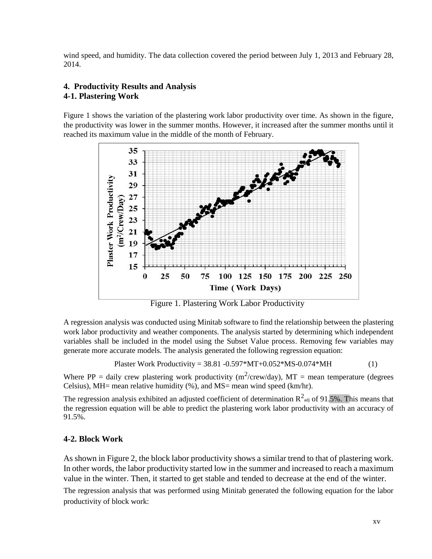wind speed, and humidity. The data collection covered the period between July 1, 2013 and February 28, 2014.

## **4. Productivity Results and Analysis 4-1. Plastering Work**

Figure 1 shows the variation of the plastering work labor productivity over time. As shown in the figure, the productivity was lower in the summer months. However, it increased after the summer months until it reached its maximum value in the middle of the month of February.



Figure 1. Plastering Work Labor Productivity

A regression analysis was conducted using Minitab software to find the relationship between the plastering work labor productivity and weather components. The analysis started by determining which independent variables shall be included in the model using the Subset Value process. Removing few variables may generate more accurate models. The analysis generated the following regression equation:

Plaster Work Productivity = 
$$
38.81 - 0.597 \times MT + 0.052 \times MS - 0.074 \times MH
$$
 (1)

Where PP = daily crew plastering work productivity ( $m^2/crew/day$ ), MT = mean temperature (degrees Celsius), MH= mean relative humidity (%), and MS= mean wind speed (km/hr).

The regression analysis exhibited an adjusted coefficient of determination  $R^2$ <sub>adj</sub> of 91.5%. This means that the regression equation will be able to predict the plastering work labor productivity with an accuracy of 91.5%.

## **4-2. Block Work**

As shown in Figure 2, the block labor productivity shows a similar trend to that of plastering work. In other words, the labor productivity started low in the summer and increased to reach a maximum value in the winter. Then, it started to get stable and tended to decrease at the end of the winter.

The regression analysis that was performed using Minitab generated the following equation for the labor productivity of block work: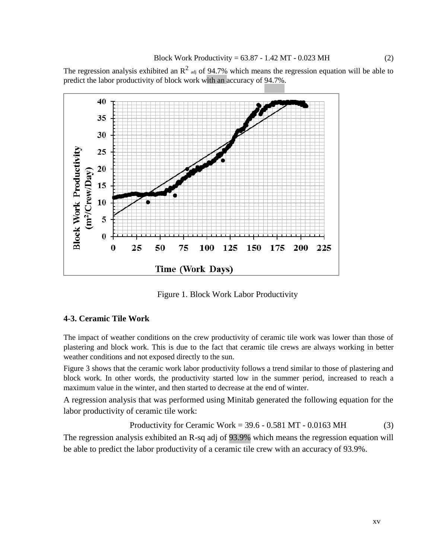The regression analysis exhibited an  $R^2$  adj of 94.7% which means the regression equation will be able to predict the labor productivity of block work with an accuracy of 94.7%.



Figure 1. Block Work Labor Productivity

## **4-3. Ceramic Tile Work**

The impact of weather conditions on the crew productivity of ceramic tile work was lower than those of plastering and block work. This is due to the fact that ceramic tile crews are always working in better weather conditions and not exposed directly to the sun.

Figure 3 shows that the ceramic work labor productivity follows a trend similar to those of plastering and block work. In other words, the productivity started low in the summer period, increased to reach a maximum value in the winter, and then started to decrease at the end of winter.

A regression analysis that was performed using Minitab generated the following equation for the labor productivity of ceramic tile work:

Productivity for Ceramic Work =  $39.6 - 0.581$  MT -  $0.0163$  MH (3)

The regression analysis exhibited an R-sq adj of 93.9% which means the regression equation will be able to predict the labor productivity of a ceramic tile crew with an accuracy of 93.9%.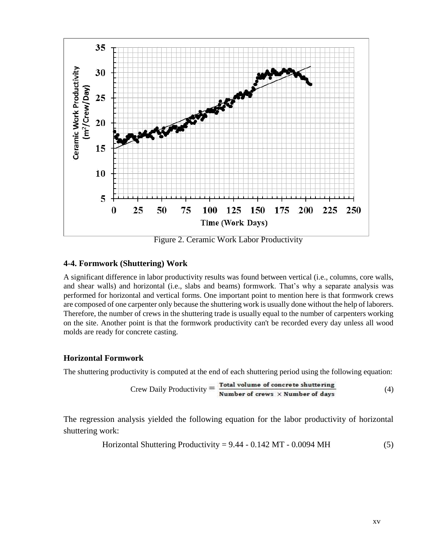

Figure 2. Ceramic Work Labor Productivity

### **4-4. Formwork (Shuttering) Work**

A significant difference in labor productivity results was found between vertical (i.e., columns, core walls, and shear walls) and horizontal (i.e., slabs and beams) formwork. That's why a separate analysis was performed for horizontal and vertical forms. One important point to mention here is that formwork crews are composed of one carpenter only because the shuttering work is usually done without the help of laborers. Therefore, the number of crews in the shuttering trade is usually equal to the number of carpenters working on the site. Another point is that the formwork productivity can't be recorded every day unless all wood molds are ready for concrete casting.

## **Horizontal Formwork**

The shuttering productivity is computed at the end of each shuttering period using the following equation:

$$
Crew Daily Productivity = \frac{Total volume of concrete shuttering}{Number of crews \times Number of days}
$$
 (4)

The regression analysis yielded the following equation for the labor productivity of horizontal shuttering work:

Horizontal Shuttering Productivity = 
$$
9.44 - 0.142 \, \text{MT} - 0.0094 \, \text{MH}
$$
 (5)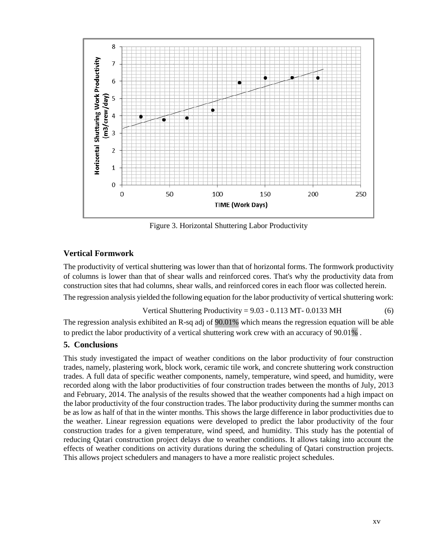

Figure 3. Horizontal Shuttering Labor Productivity

# **Vertical Formwork**

The productivity of vertical shuttering was lower than that of horizontal forms. The formwork productivity of columns is lower than that of shear walls and reinforced cores. That's why the productivity data from construction sites that had columns, shear walls, and reinforced cores in each floor was collected herein.

The regression analysis yielded the following equation for the labor productivity of vertical shuttering work:

Vertical Shuttering Productivity = 
$$
9.03 - 0.113
$$
 MT-  $0.0133$  MH (6)

The regression analysis exhibited an R-sq adj of  $\overline{90.01\%}$  which means the regression equation will be able to predict the labor productivity of a vertical shuttering work crew with an accuracy of 90.01% .

# **5. Conclusions**

This study investigated the impact of weather conditions on the labor productivity of four construction trades, namely, plastering work, block work, ceramic tile work, and concrete shuttering work construction trades. A full data of specific weather components, namely, temperature, wind speed, and humidity, were recorded along with the labor productivities of four construction trades between the months of July, 2013 and February, 2014. The analysis of the results showed that the weather components had a high impact on the labor productivity of the four construction trades. The labor productivity during the summer months can be as low as half of that in the winter months. This shows the large difference in labor productivities due to the weather. Linear regression equations were developed to predict the labor productivity of the four construction trades for a given temperature, wind speed, and humidity. This study has the potential of reducing Qatari construction project delays due to weather conditions. It allows taking into account the effects of weather conditions on activity durations during the scheduling of Qatari construction projects. This allows project schedulers and managers to have a more realistic project schedules.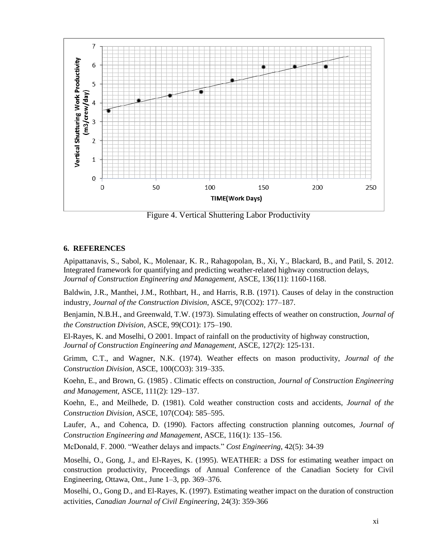

Figure 4. Vertical Shuttering Labor Productivity

#### **6. REFERENCES**

Apipattanavis, S., Sabol, K., Molenaar, K. R., Rahagopolan, B., Xi, Y., Blackard, B., and Patil, S. 2012. Integrated framework for quantifying and predicting weather-related highway construction delays, *Journal of Construction Engineering and Management*, ASCE, 136(11): 1160-1168.

Baldwin, J.R., Manthei, J.M., Rothbart, H., and Harris, R.B. (1971). Causes of delay in the construction industry, *Journal of the Construction Division*, ASCE, 97(CO2): 177–187.

Benjamin, N.B.H., and Greenwald, T.W. (1973). Simulating effects of weather on construction, *Journal of the Construction Division*, ASCE, 99(CO1): 175–190.

El-Rayes, K. and Moselhi, O 2001. Impact of rainfall on the productivity of highway construction, *Journal of Construction Engineering and Management*, ASCE, 127(2): 125-131.

Grimm, C.T., and Wagner, N.K. (1974). Weather effects on mason productivity, *Journal of the Construction Division*, ASCE, 100(CO3): 319–335.

Koehn, E., and Brown, G. (1985) . Climatic effects on construction, *Journal of Construction Engineering and Management*, ASCE, 111(2): 129–137.

Koehn, E., and Meilhede, D. (1981). Cold weather construction costs and accidents, *Journal of the Construction Division*, ASCE, 107(CO4): 585–595.

Laufer, A., and Cohenca, D. (1990). Factors affecting construction planning outcomes, *Journal of Construction Engineering and Management*, ASCE, 116(1): 135–156.

McDonald, F. 2000. "Weather delays and impacts." *Cost Engineering*, 42(5): 34-39

Moselhi, O., Gong, J., and El-Rayes, K. (1995). WEATHER: a DSS for estimating weather impact on construction productivity, Proceedings of Annual Conference of the Canadian Society for Civil Engineering, Ottawa, Ont., June 1–3, pp. 369–376.

Moselhi, O., Gong D., and El-Rayes, K. (1997). Estimating weather impact on the duration of construction activities, *Canadian Journal of Civil Engineering*, 24(3): 359-366